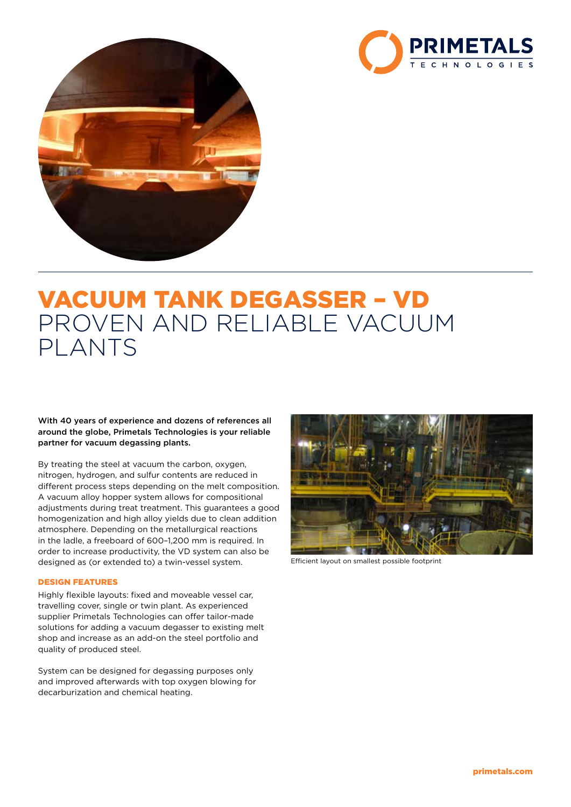



# VACUUM TANK DEGASSER – VD PROVEN AND RELIABLE VACUUM PLANTS

With 40 years of experience and dozens of references all around the globe, Primetals Technologies is your reliable partner for vacuum degassing plants.

By treating the steel at vacuum the carbon, oxygen, nitrogen, hydrogen, and sulfur contents are reduced in different process steps depending on the melt composition. A vacuum alloy hopper system allows for compositional adjustments during treat treatment. This guarantees a good homogenization and high alloy yields due to clean addition atmosphere. Depending on the metallurgical reactions in the ladle, a freeboard of 600–1,200 mm is required. In order to increase productivity, the VD system can also be designed as (or extended to) a twin-vessel system.

# DESIGN FEATURES

Highly flexible layouts: fixed and moveable vessel car, travelling cover, single or twin plant. As experienced supplier Primetals Technologies can offer tailor-made solutions for adding a vacuum degasser to existing melt shop and increase as an add-on the steel portfolio and quality of produced steel.

System can be designed for degassing purposes only and improved afterwards with top oxygen blowing for decarburization and chemical heating.



Efficient layout on smallest possible footprint